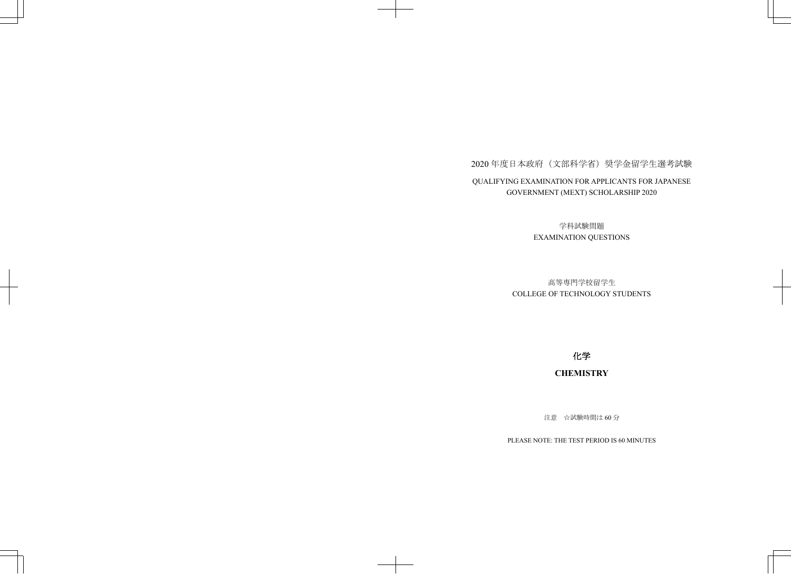## 2020年度日本政府(文部科学省)奨学金留学生選考試験 QUALIFYING EXAMINATION FOR APPLICANTS FOR JAPANESE GOVERNMENT (MEXT) SCHOLARSHIP 2020

学科試験問題 EXAMINATION QUESTIONS

## 高等専門学校留学生 COLLEGE OF TECHNOLOGY STUDENTS

化学

## **CHEMISTRY**

注意 ☆試験時間は60分

PLEASE NOTE: THE TEST PERIOD IS 60 MINUTES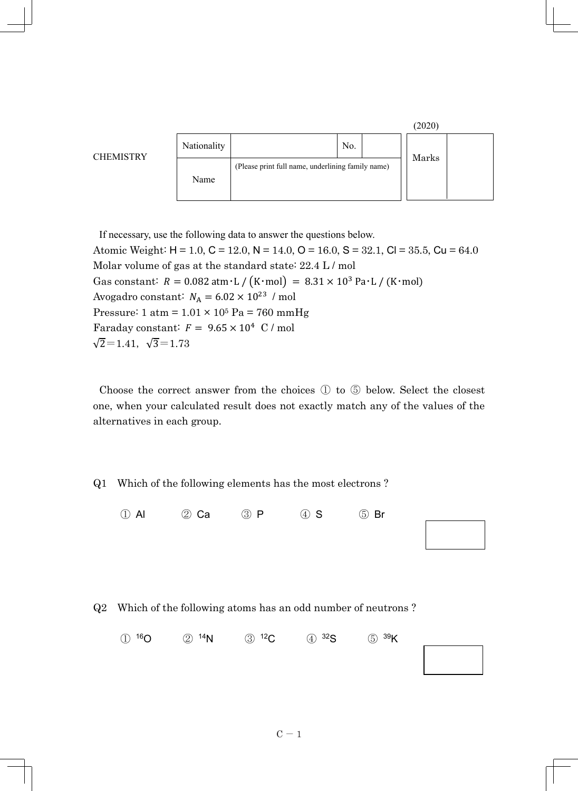

If necessary, use the following data to answer the questions below. Atomic Weight:  $H = 1.0$ ,  $C = 12.0$ ,  $N = 14.0$ ,  $O = 16.0$ ,  $S = 32.1$ ,  $Cl = 35.5$ ,  $Cu = 64.0$ Molar volume of gas at the standard state: 22.4 L / mol Gas constant:  $R = 0.082$  atm·L /  $(K \cdot \text{mol}) = 8.31 \times 10^3$  Pa·L /  $(K \cdot \text{mol})$ Avogadro constant:  $N_{\rm A} = 6.02 \times 10^{23}$  / mol Pressure:  $1 atm = 1.01 \times 10^5 Pa = 760 mmHg$ Faraday constant:  $F = 9.65 \times 10^4$  C / mol  $\sqrt{2}=1.41, \sqrt{3}=1.73$ 

Choose the correct answer from the choices ① to ⑤ below. Select the closest one, when your calculated result does not exactly match any of the values of the alternatives in each group.

Q1 Which of the following elements has the most electrons ?

① Al ② Ca ③ P ④ S ⑤ Br

|  |  | Q2 Which of the following atoms has an odd number of neutrons? |
|--|--|----------------------------------------------------------------|

① 16O ② 14N ③ 12C ④ 32S ⑤ 39K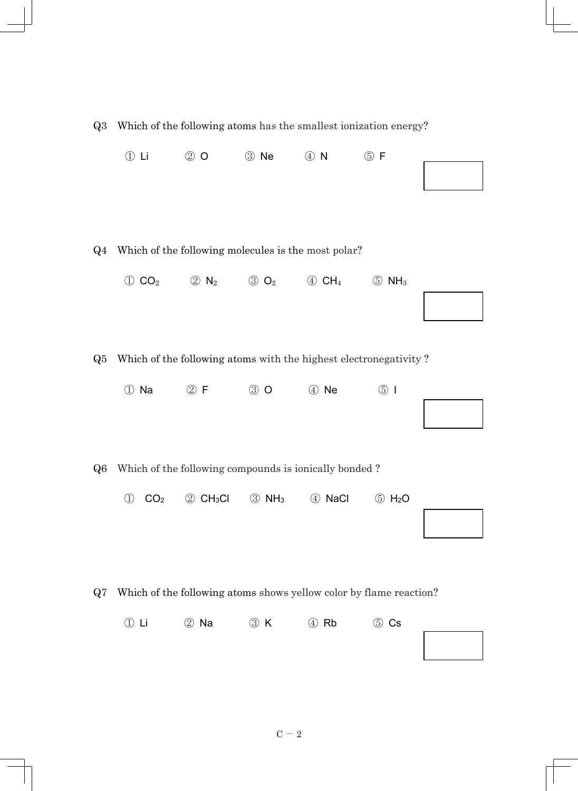| Q3    | Which of the following atoms has the smallest ionization energy? |                              |                               |                          |                                                                    |  |
|-------|------------------------------------------------------------------|------------------------------|-------------------------------|--------------------------|--------------------------------------------------------------------|--|
|       | $\circled{1}$ Li                                                 | $\circledcirc$ O             | 3 Ne                          | $\circled{4}$ N          | $\circledS$ F                                                      |  |
| $Q_4$ | Which of the following molecules is the most polar?              |                              |                               |                          |                                                                    |  |
|       | $\circled{1}$ CO <sub>2</sub>                                    | $\circled{2}$ N <sub>2</sub> | $\circled{3}$ O <sub>2</sub>  | $\oplus$ CH <sub>4</sub> | $\circled{5}$ NH <sub>3</sub>                                      |  |
|       |                                                                  |                              |                               |                          |                                                                    |  |
|       |                                                                  |                              |                               |                          |                                                                    |  |
| Q5    |                                                                  |                              |                               |                          | Which of the following atoms with the highest electronegativity?   |  |
|       | ① Na                                                             | $\circledcirc$ F             | $\circled{3}$ O               | 4 Ne                     | $\circled{5}$                                                      |  |
|       |                                                                  |                              |                               |                          |                                                                    |  |
|       |                                                                  |                              |                               |                          |                                                                    |  |
| Q6    | Which of the following compounds is ionically bonded?            |                              |                               |                          |                                                                    |  |
|       | CO <sub>2</sub><br>$\bigcirc$                                    | 2 CH <sub>3</sub> CI         | $\circled{3}$ NH <sub>3</sub> | 4 NaCl                   | $\circled{5}$ H <sub>2</sub> O                                     |  |
|       |                                                                  |                              |                               |                          |                                                                    |  |
|       |                                                                  |                              |                               |                          |                                                                    |  |
| Q7    |                                                                  |                              |                               |                          | Which of the following atoms shows yellow color by flame reaction? |  |
|       | $\oplus$ Li                                                      | 2 Na                         | 3 K                           | 4 Rb                     | $\circledS$ Cs                                                     |  |
|       |                                                                  |                              |                               |                          |                                                                    |  |
|       |                                                                  |                              |                               |                          |                                                                    |  |

 $C - 2$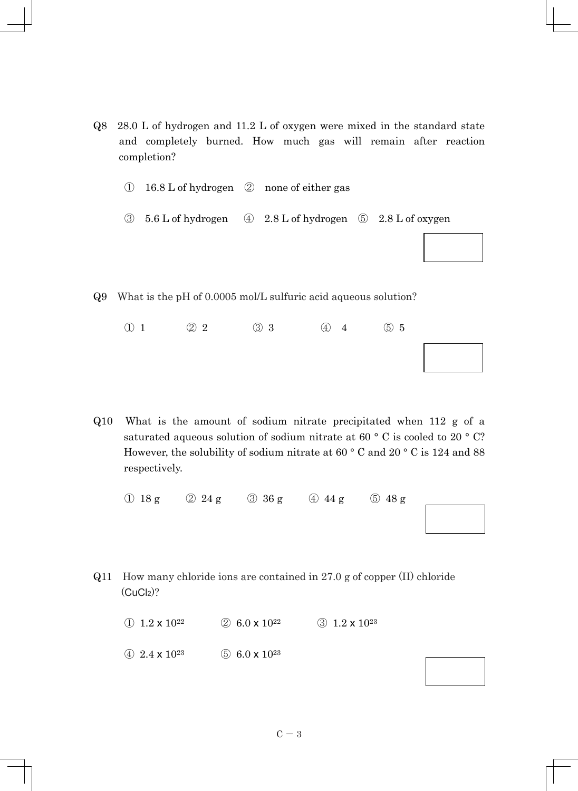- Q8 28.0 L of hydrogen and 11.2 L of oxygen were mixed in the standard state and completely burned. How much gas will remain after reaction completion?
	- ①16.8 L of hydrogen ② none of either gas
	- ③5.6 L of hydrogen ④ 2.8 L of hydrogen ⑤ 2.8 L of oxygen
- Q9 What is the pH of 0.0005 mol/L sulfuric acid aqueous solution?
	- $\begin{array}{ccccccc}\n\textcircled{1} & & \textcircled{2} & 2 & & \textcircled{3} & 3 & & \textcircled{4} & 4 & & \textcircled{5} & 5\n\end{array}$
- Q10 What is the amount of sodium nitrate precipitated when 112 g of a saturated aqueous solution of sodium nitrate at 60 ° C is cooled to 20 ° C? However, the solubility of sodium nitrate at 60 ° C and 20 ° C is 124 and 88 respectively.

|  |  | $\bigcirc$ 18 g $\bigcirc$ 24 g $\bigcirc$ 36 g $\bigcirc$ 44 g $\bigcirc$ 48 g |
|--|--|---------------------------------------------------------------------------------|
|  |  | $\begin{bmatrix} 1 & 1 \\ 1 & 1 \end{bmatrix}$                                  |
|  |  |                                                                                 |

Q11 How many chloride ions are contained in 27.0 g of copper (II) chloride  $(CuCl<sub>2</sub>)$ ?

(1)  $1.2 \times 10^{22}$  (2)  $6.0 \times 10^{22}$  (3)  $1.2 \times 10^{23}$ 

(4)  $2.4 \times 10^{23}$  (5)  $6.0 \times 10^{23}$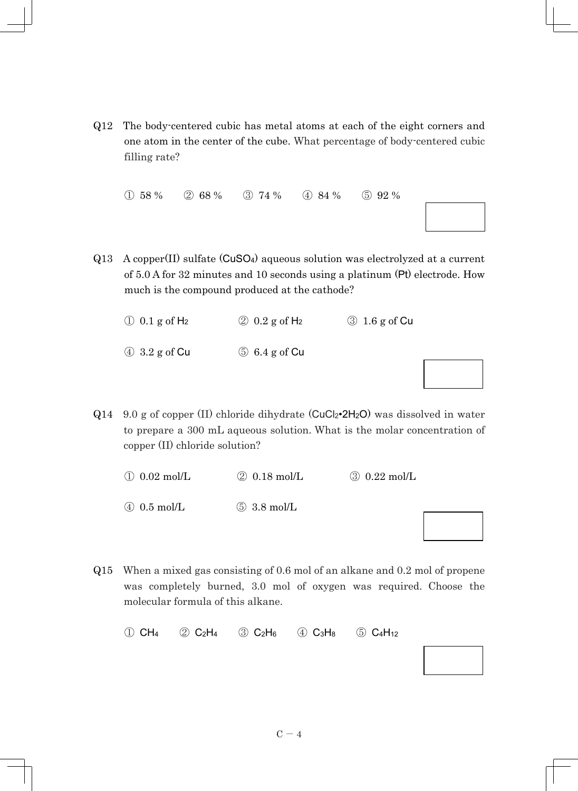Q12 The body-centered cubic has metal atoms at each of the eight corners and one atom in the center of the cube. What percentage of body-centered cubic filling rate?

① 58 % ② 68 % ③ 74 % ④ 84 % ⑤ 92 %

Q13 A copper(II) sulfate (CuSO4) aqueous solution was electrolyzed at a current of 5.0 A for 32 minutes and 10 seconds using a platinum (Pt) electrode. How much is the compound produced at the cathode?

 $\textcircled{1}$  0.1 g of H<sub>2</sub>  $\textcircled{2}$  0.2 g of H<sub>2</sub>  $\textcircled{3}$  1.6 g of Cu ④ 3.2 g of Cu ⑤ 6.4 g of Cu

 $Q14$  9.0 g of copper (II) chloride dihydrate (CuCl<sub>2</sub> $\cdot$ 2H<sub>2</sub>O) was dissolved in water to prepare a 300 mL aqueous solution. What is the molar concentration of copper (II) chloride solution?

 $\overline{1}$  0.02 mol/L  $\overline{2}$  0.18 mol/L  $\overline{3}$  0.22 mol/L

④ 0.5 mol/L ⑤ 3.8 mol/L

Q15 When a mixed gas consisting of 0.6 mol of an alkane and 0.2 mol of propene was completely burned, 3.0 mol of oxygen was required. Choose the molecular formula of this alkane.

|  | $(1)$ CH <sub>4</sub> $(2)$ C <sub>2</sub> H <sub>4</sub> $(3)$ C <sub>2</sub> H <sub>6</sub> $(4)$ C <sub>3</sub> H <sub>8</sub> $(5)$ C <sub>4</sub> H <sub>12</sub> |  |
|--|------------------------------------------------------------------------------------------------------------------------------------------------------------------------|--|
|  |                                                                                                                                                                        |  |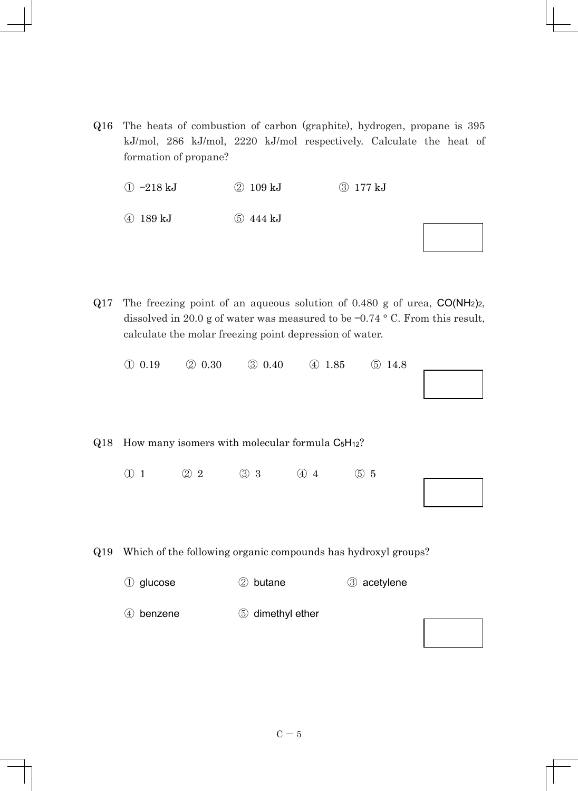Q16 The heats of combustion of carbon (graphite), hydrogen, propane is 395 kJ/mol, 286 kJ/mol, 2220 kJ/mol respectively. Calculate the heat of formation of propane?

 $(1) -218 kJ$   $(2) 109 kJ$   $(3) 177 kJ$ ④ 189 kJ ⑤ 444 kJ

Q17 The freezing point of an aqueous solution of 0.480 g of urea, CO(NH2)2, dissolved in 20.0 g of water was measured to be —0.74 ° C. From this result, calculate the molar freezing point depression of water.

|  | $\textcircled{1}$ 0.19 $\textcircled{2}$ 0.30 $\textcircled{3}$ 0.40 $\textcircled{4}$ 1.85 $\textcircled{5}$ 14.8 |  |  |
|--|--------------------------------------------------------------------------------------------------------------------|--|--|
|  |                                                                                                                    |  |  |
|  |                                                                                                                    |  |  |
|  |                                                                                                                    |  |  |

## $Q18$  How many isomers with molecular formula  $C_5H_{12}$ ?

 $\begin{array}{ccccccc}\n\textcircled{1} & & \textcircled{2} & 2 & & \textcircled{3} & 3 & & \textcircled{4} & 4 & & \textcircled{5} & 5\n\end{array}$ 

Q19 Which of the following organic compounds has hydroxyl groups?

① glucose ② butane ③ acetylene 4 benzene 6 dimethyl ether